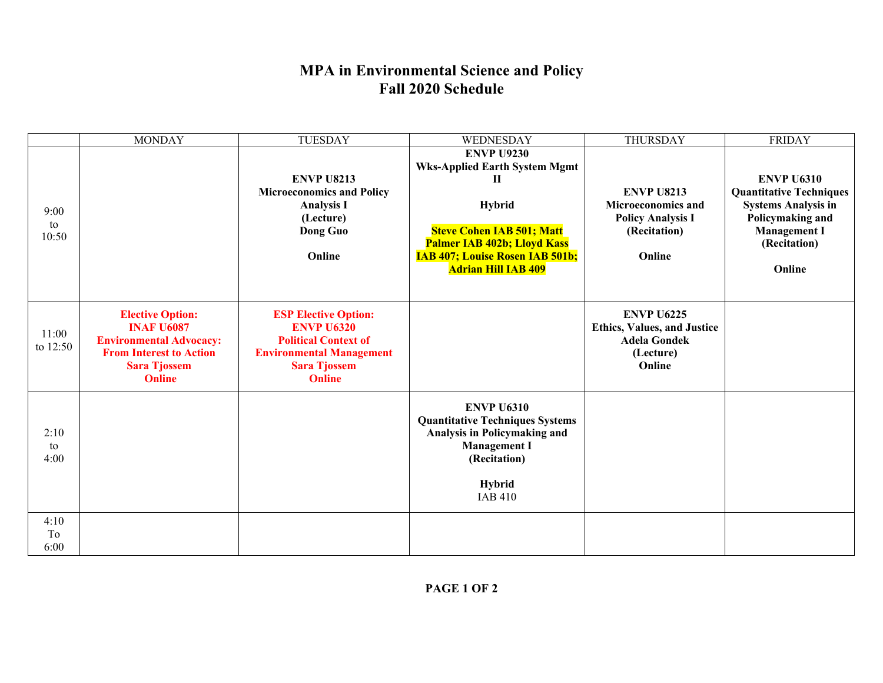## **MPA in Environmental Science and Policy Fall 2020 Schedule**

|                     | <b>MONDAY</b>                                                                                                                                            | <b>TUESDAY</b>                                                                                                                                             | WEDNESDAY                                                                                                                                                             | THURSDAY                                                                                              | <b>FRIDAY</b>                                                                                                                |
|---------------------|----------------------------------------------------------------------------------------------------------------------------------------------------------|------------------------------------------------------------------------------------------------------------------------------------------------------------|-----------------------------------------------------------------------------------------------------------------------------------------------------------------------|-------------------------------------------------------------------------------------------------------|------------------------------------------------------------------------------------------------------------------------------|
| 9:00<br>to<br>10:50 |                                                                                                                                                          | <b>ENVP U8213</b><br><b>Microeconomics and Policy</b><br><b>Analysis I</b><br>(Lecture)<br>Dong Guo                                                        | <b>ENVP U9230</b><br><b>Wks-Applied Earth System Mgmt</b><br>П<br><b>Hybrid</b><br><b>Steve Cohen IAB 501; Matt</b>                                                   | <b>ENVP U8213</b><br><b>Microeconomics and</b><br><b>Policy Analysis I</b><br>(Recitation)            | <b>ENVP U6310</b><br><b>Quantitative Techniques</b><br><b>Systems Analysis in</b><br>Policymaking and<br><b>Management I</b> |
|                     |                                                                                                                                                          | Online                                                                                                                                                     | <b>Palmer IAB 402b; Lloyd Kass</b><br><b>IAB 407; Louise Rosen IAB 501b;</b><br><b>Adrian Hill IAB 409</b>                                                            | Online                                                                                                | (Recitation)<br>Online                                                                                                       |
| 11:00<br>to 12:50   | <b>Elective Option:</b><br><b>INAF U6087</b><br><b>Environmental Advocacy:</b><br><b>From Interest to Action</b><br><b>Sara Tjossem</b><br><b>Online</b> | <b>ESP Elective Option:</b><br><b>ENVP U6320</b><br><b>Political Context of</b><br><b>Environmental Management</b><br><b>Sara Tjossem</b><br><b>Online</b> |                                                                                                                                                                       | <b>ENVP U6225</b><br><b>Ethics, Values, and Justice</b><br><b>Adela Gondek</b><br>(Lecture)<br>Online |                                                                                                                              |
| 2:10<br>to<br>4:00  |                                                                                                                                                          |                                                                                                                                                            | <b>ENVP U6310</b><br><b>Quantitative Techniques Systems</b><br>Analysis in Policymaking and<br><b>Management I</b><br>(Recitation)<br><b>Hybrid</b><br><b>IAB 410</b> |                                                                                                       |                                                                                                                              |
| 4:10<br>To<br>6:00  |                                                                                                                                                          |                                                                                                                                                            |                                                                                                                                                                       |                                                                                                       |                                                                                                                              |